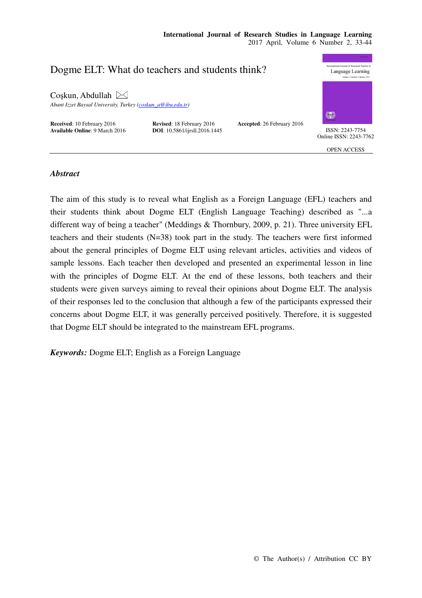

# *Abstract*

The aim of this study is to reveal what English as a Foreign Language (EFL) teachers and their students think about Dogme ELT (English Language Teaching) described as "...a different way of being a teacher" (Meddings & Thornbury, 2009, p. 21). Three university EFL teachers and their students (N=38) took part in the study. The teachers were first informed about the general principles of Dogme ELT using relevant articles, activities and videos of sample lessons. Each teacher then developed and presented an experimental lesson in line with the principles of Dogme ELT. At the end of these lessons, both teachers and their students were given surveys aiming to reveal their opinions about Dogme ELT. The analysis of their responses led to the conclusion that although a few of the participants expressed their concerns about Dogme ELT, it was generally perceived positively. Therefore, it is suggested that Dogme ELT should be integrated to the mainstream EFL programs.

*Keywords:* Dogme ELT; English as a Foreign Language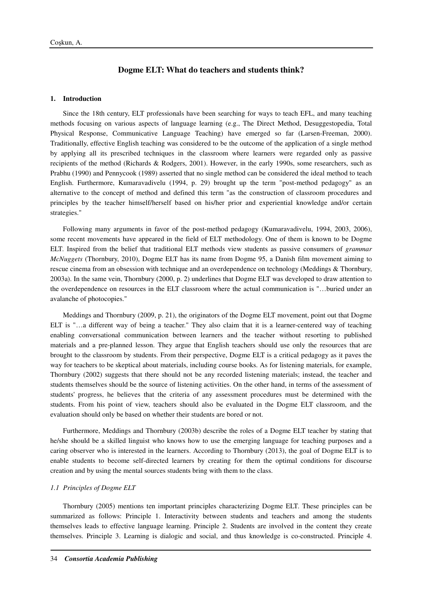# **Dogme ELT: What do teachers and students think?**

# **1. Introduction**

Since the 18th century, ELT professionals have been searching for ways to teach EFL, and many teaching methods focusing on various aspects of language learning (e.g., The Direct Method, Desuggestopedia, Total Physical Response, Communicative Language Teaching) have emerged so far (Larsen-Freeman, 2000). Traditionally, effective English teaching was considered to be the outcome of the application of a single method by applying all its prescribed techniques in the classroom where learners were regarded only as passive recipients of the method (Richards & Rodgers, 2001). However, in the early 1990s, some researchers, such as Prabhu (1990) and Pennycook (1989) asserted that no single method can be considered the ideal method to teach English. Furthermore, Kumaravadivelu (1994, p. 29) brought up the term "post-method pedagogy" as an alternative to the concept of method and defined this term "as the construction of classroom procedures and principles by the teacher himself/herself based on his/her prior and experiential knowledge and/or certain strategies."

Following many arguments in favor of the post-method pedagogy (Kumaravadivelu, 1994, 2003, 2006), some recent movements have appeared in the field of ELT methodology. One of them is known to be Dogme ELT. Inspired from the belief that traditional ELT methods view students as passive consumers of *grammar McNuggets* (Thornbury, 2010), Dogme ELT has its name from Dogme 95, a Danish film movement aiming to rescue cinema from an obsession with technique and an overdependence on technology (Meddings & Thornbury, 2003a). In the same vein, Thornbury (2000, p. 2) underlines that Dogme ELT was developed to draw attention to the overdependence on resources in the ELT classroom where the actual communication is "…buried under an avalanche of photocopies."

Meddings and Thornbury (2009, p. 21), the originators of the Dogme ELT movement, point out that Dogme ELT is "...a different way of being a teacher." They also claim that it is a learner-centered way of teaching enabling conversational communication between learners and the teacher without resorting to published materials and a pre-planned lesson. They argue that English teachers should use only the resources that are brought to the classroom by students. From their perspective, Dogme ELT is a critical pedagogy as it paves the way for teachers to be skeptical about materials, including course books. As for listening materials, for example, Thornbury (2002) suggests that there should not be any recorded listening materials; instead, the teacher and students themselves should be the source of listening activities. On the other hand, in terms of the assessment of students' progress, he believes that the criteria of any assessment procedures must be determined with the students. From his point of view, teachers should also be evaluated in the Dogme ELT classroom, and the evaluation should only be based on whether their students are bored or not.

Furthermore, Meddings and Thornbury (2003b) describe the roles of a Dogme ELT teacher by stating that he/she should be a skilled linguist who knows how to use the emerging language for teaching purposes and a caring observer who is interested in the learners. According to Thornbury (2013), the goal of Dogme ELT is to enable students to become self-directed learners by creating for them the optimal conditions for discourse creation and by using the mental sources students bring with them to the class.

# *1.1 Principles of Dogme ELT*

Thornbury (2005) mentions ten important principles characterizing Dogme ELT. These principles can be summarized as follows: Principle 1. Interactivity between students and teachers and among the students themselves leads to effective language learning. Principle 2. Students are involved in the content they create themselves. Principle 3. Learning is dialogic and social, and thus knowledge is co-constructed. Principle 4.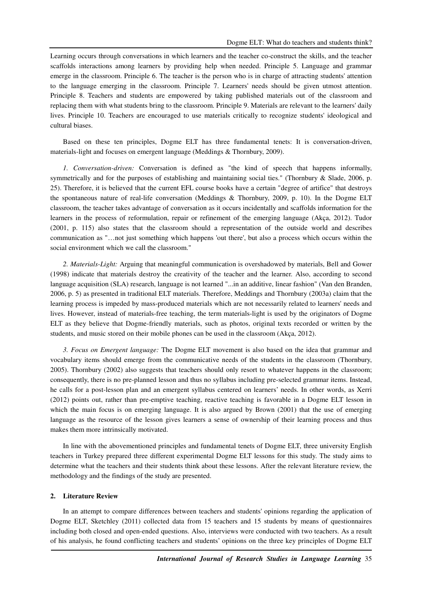Learning occurs through conversations in which learners and the teacher co-construct the skills, and the teacher scaffolds interactions among learners by providing help when needed. Principle 5. Language and grammar emerge in the classroom. Principle 6. The teacher is the person who is in charge of attracting students' attention to the language emerging in the classroom. Principle 7. Learners' needs should be given utmost attention. Principle 8. Teachers and students are empowered by taking published materials out of the classroom and replacing them with what students bring to the classroom. Principle 9. Materials are relevant to the learners' daily lives. Principle 10. Teachers are encouraged to use materials critically to recognize students' ideological and cultural biases.

Based on these ten principles, Dogme ELT has three fundamental tenets: It is conversation-driven, materials-light and focuses on emergent language (Meddings & Thornbury, 2009).

*1. Conversation-driven:* Conversation is defined as "the kind of speech that happens informally, symmetrically and for the purposes of establishing and maintaining social ties." (Thornbury & Slade, 2006, p. 25). Therefore, it is believed that the current EFL course books have a certain "degree of artifice" that destroys the spontaneous nature of real-life conversation (Meddings & Thornbury, 2009, p. 10). In the Dogme ELT classroom, the teacher takes advantage of conversation as it occurs incidentally and scaffolds information for the learners in the process of reformulation, repair or refinement of the emerging language (Akça, 2012). Tudor (2001, p. 115) also states that the classroom should a representation of the outside world and describes communication as "…not just something which happens 'out there', but also a process which occurs within the social environment which we call the classroom."

*2. Materials-Light:* Arguing that meaningful communication is overshadowed by materials, Bell and Gower (1998) indicate that materials destroy the creativity of the teacher and the learner. Also, according to second language acquisition (SLA) research, language is not learned "...in an additive, linear fashion" (Van den Branden, 2006, p. 5) as presented in traditional ELT materials. Therefore, Meddings and Thornbury (2003a) claim that the learning process is impeded by mass-produced materials which are not necessarily related to learners' needs and lives. However, instead of materials-free teaching, the term materials-light is used by the originators of Dogme ELT as they believe that Dogme-friendly materials, such as photos, original texts recorded or written by the students, and music stored on their mobile phones can be used in the classroom (Akça, 2012).

*3. Focus on Emergent language:* The Dogme ELT movement is also based on the idea that grammar and vocabulary items should emerge from the communicative needs of the students in the classroom (Thornbury, 2005). Thornbury (2002) also suggests that teachers should only resort to whatever happens in the classroom; consequently, there is no pre-planned lesson and thus no syllabus including pre-selected grammar items. Instead, he calls for a post-lesson plan and an emergent syllabus centered on learners' needs. In other words, as Xerri (2012) points out, rather than pre-emptive teaching, reactive teaching is favorable in a Dogme ELT lesson in which the main focus is on emerging language. It is also argued by Brown (2001) that the use of emerging language as the resource of the lesson gives learners a sense of ownership of their learning process and thus makes them more intrinsically motivated.

In line with the abovementioned principles and fundamental tenets of Dogme ELT, three university English teachers in Turkey prepared three different experimental Dogme ELT lessons for this study. The study aims to determine what the teachers and their students think about these lessons. After the relevant literature review, the methodology and the findings of the study are presented.

#### **2. Literature Review**

In an attempt to compare differences between teachers and students' opinions regarding the application of Dogme ELT, Sketchley (2011) collected data from 15 teachers and 15 students by means of questionnaires including both closed and open-ended questions. Also, interviews were conducted with two teachers. As a result of his analysis, he found conflicting teachers and students' opinions on the three key principles of Dogme ELT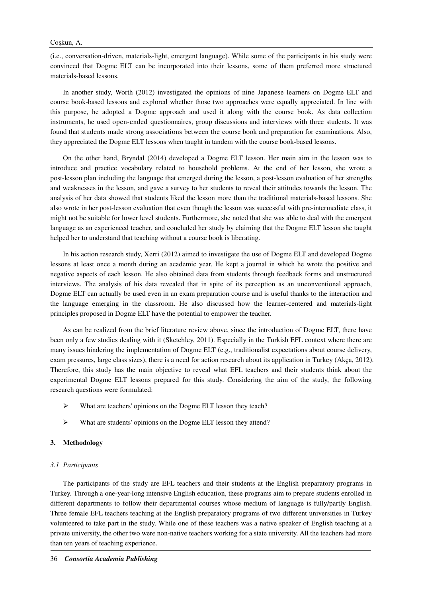(i.e., conversation-driven, materials-light, emergent language). While some of the participants in his study were convinced that Dogme ELT can be incorporated into their lessons, some of them preferred more structured materials-based lessons.

In another study, Worth (2012) investigated the opinions of nine Japanese learners on Dogme ELT and course book-based lessons and explored whether those two approaches were equally appreciated. In line with this purpose, he adopted a Dogme approach and used it along with the course book. As data collection instruments, he used open-ended questionnaires, group discussions and interviews with three students. It was found that students made strong associations between the course book and preparation for examinations. Also, they appreciated the Dogme ELT lessons when taught in tandem with the course book-based lessons.

On the other hand, Bryndal (2014) developed a Dogme ELT lesson. Her main aim in the lesson was to introduce and practice vocabulary related to household problems. At the end of her lesson, she wrote a post-lesson plan including the language that emerged during the lesson, a post-lesson evaluation of her strengths and weaknesses in the lesson, and gave a survey to her students to reveal their attitudes towards the lesson. The analysis of her data showed that students liked the lesson more than the traditional materials-based lessons. She also wrote in her post-lesson evaluation that even though the lesson was successful with pre-intermediate class, it might not be suitable for lower level students. Furthermore, she noted that she was able to deal with the emergent language as an experienced teacher, and concluded her study by claiming that the Dogme ELT lesson she taught helped her to understand that teaching without a course book is liberating.

In his action research study, Xerri (2012) aimed to investigate the use of Dogme ELT and developed Dogme lessons at least once a month during an academic year. He kept a journal in which he wrote the positive and negative aspects of each lesson. He also obtained data from students through feedback forms and unstructured interviews. The analysis of his data revealed that in spite of its perception as an unconventional approach, Dogme ELT can actually be used even in an exam preparation course and is useful thanks to the interaction and the language emerging in the classroom. He also discussed how the learner-centered and materials-light principles proposed in Dogme ELT have the potential to empower the teacher.

As can be realized from the brief literature review above, since the introduction of Dogme ELT, there have been only a few studies dealing with it (Sketchley, 2011). Especially in the Turkish EFL context where there are many issues hindering the implementation of Dogme ELT (e.g., traditionalist expectations about course delivery, exam pressures, large class sizes), there is a need for action research about its application in Turkey (Akça, 2012). Therefore, this study has the main objective to reveal what EFL teachers and their students think about the experimental Dogme ELT lessons prepared for this study. Considering the aim of the study, the following research questions were formulated:

- What are teachers' opinions on the Dogme ELT lesson they teach?
- What are students' opinions on the Dogme ELT lesson they attend?

# **3. Methodology**

## *3.1 Participants*

The participants of the study are EFL teachers and their students at the English preparatory programs in Turkey. Through a one-year-long intensive English education, these programs aim to prepare students enrolled in different departments to follow their departmental courses whose medium of language is fully/partly English. Three female EFL teachers teaching at the English preparatory programs of two different universities in Turkey volunteered to take part in the study. While one of these teachers was a native speaker of English teaching at a private university, the other two were non-native teachers working for a state university. All the teachers had more than ten years of teaching experience.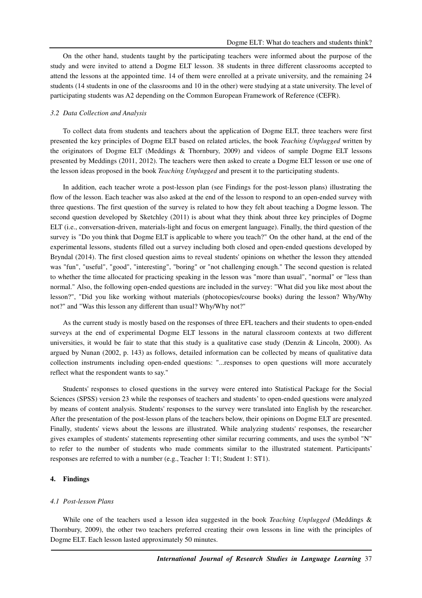On the other hand, students taught by the participating teachers were informed about the purpose of the study and were invited to attend a Dogme ELT lesson. 38 students in three different classrooms accepted to attend the lessons at the appointed time. 14 of them were enrolled at a private university, and the remaining 24 students (14 students in one of the classrooms and 10 in the other) were studying at a state university. The level of participating students was A2 depending on the Common European Framework of Reference (CEFR).

### *3.2 Data Collection and Analysis*

To collect data from students and teachers about the application of Dogme ELT, three teachers were first presented the key principles of Dogme ELT based on related articles, the book *Teaching Unplugged* written by the originators of Dogme ELT (Meddings & Thornbury, 2009) and videos of sample Dogme ELT lessons presented by Meddings (2011, 2012). The teachers were then asked to create a Dogme ELT lesson or use one of the lesson ideas proposed in the book *Teaching Unplugged* and present it to the participating students.

In addition, each teacher wrote a post-lesson plan (see Findings for the post-lesson plans) illustrating the flow of the lesson. Each teacher was also asked at the end of the lesson to respond to an open-ended survey with three questions. The first question of the survey is related to how they felt about teaching a Dogme lesson. The second question developed by Sketchley (2011) is about what they think about three key principles of Dogme ELT (i.e., conversation-driven, materials-light and focus on emergent language). Finally, the third question of the survey is "Do you think that Dogme ELT is applicable to where you teach?" On the other hand, at the end of the experimental lessons, students filled out a survey including both closed and open-ended questions developed by Bryndal (2014). The first closed question aims to reveal students' opinions on whether the lesson they attended was "fun", "useful", "good", "interesting", "boring" or "not challenging enough." The second question is related to whether the time allocated for practicing speaking in the lesson was "more than usual", "normal" or "less than normal." Also, the following open-ended questions are included in the survey: "What did you like most about the lesson?", "Did you like working without materials (photocopies/course books) during the lesson? Why/Why not?" and "Was this lesson any different than usual? Why/Why not?"

As the current study is mostly based on the responses of three EFL teachers and their students to open-ended surveys at the end of experimental Dogme ELT lessons in the natural classroom contexts at two different universities, it would be fair to state that this study is a qualitative case study (Denzin & Lincoln, 2000). As argued by Nunan (2002, p. 143) as follows, detailed information can be collected by means of qualitative data collection instruments including open-ended questions: "...responses to open questions will more accurately reflect what the respondent wants to say."

Students' responses to closed questions in the survey were entered into Statistical Package for the Social Sciences (SPSS) version 23 while the responses of teachers and students' to open-ended questions were analyzed by means of content analysis. Students' responses to the survey were translated into English by the researcher. After the presentation of the post-lesson plans of the teachers below, their opinions on Dogme ELT are presented. Finally, students' views about the lessons are illustrated. While analyzing students' responses, the researcher gives examples of students' statements representing other similar recurring comments, and uses the symbol "N" to refer to the number of students who made comments similar to the illustrated statement. Participants' responses are referred to with a number (e.g., Teacher 1: T1; Student 1: ST1).

# **4. Findings**

#### *4.1 Post-lesson Plans*

While one of the teachers used a lesson idea suggested in the book *Teaching Unplugged* (Meddings & Thornbury, 2009), the other two teachers preferred creating their own lessons in line with the principles of Dogme ELT. Each lesson lasted approximately 50 minutes.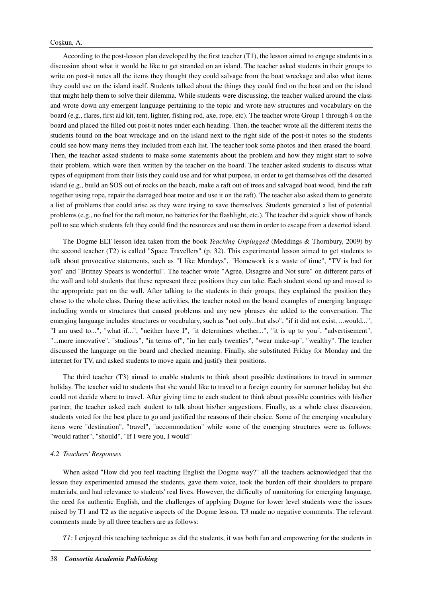According to the post-lesson plan developed by the first teacher (T1), the lesson aimed to engage students in a discussion about what it would be like to get stranded on an island. The teacher asked students in their groups to write on post-it notes all the items they thought they could salvage from the boat wreckage and also what items they could use on the island itself. Students talked about the things they could find on the boat and on the island that might help them to solve their dilemma. While students were discussing, the teacher walked around the class and wrote down any emergent language pertaining to the topic and wrote new structures and vocabulary on the board (e.g., flares, first aid kit, tent, lighter, fishing rod, axe, rope, etc). The teacher wrote Group 1 through 4 on the board and placed the filled out post-it notes under each heading. Then, the teacher wrote all the different items the students found on the boat wreckage and on the island next to the right side of the post-it notes so the students could see how many items they included from each list. The teacher took some photos and then erased the board. Then, the teacher asked students to make some statements about the problem and how they might start to solve their problem, which were then written by the teacher on the board. The teacher asked students to discuss what types of equipment from their lists they could use and for what purpose, in order to get themselves off the deserted island (e.g., build an SOS out of rocks on the beach, make a raft out of trees and salvaged boat wood, bind the raft together using rope, repair the damaged boat motor and use it on the raft). The teacher also asked them to generate a list of problems that could arise as they were trying to save themselves. Students generated a list of potential problems (e.g., no fuel for the raft motor, no batteries for the flashlight, etc.). The teacher did a quick show of hands poll to see which students felt they could find the resources and use them in order to escape from a deserted island.

The Dogme ELT lesson idea taken from the book *Teaching Unplugged* (Meddings & Thornbury, 2009) by the second teacher (T2) is called "Space Travellers" (p. 32). This experimental lesson aimed to get students to talk about provocative statements, such as "I like Mondays", "Homework is a waste of time", "TV is bad for you" and "Britney Spears is wonderful". The teacher wrote "Agree, Disagree and Not sure" on different parts of the wall and told students that these represent three positions they can take. Each student stood up and moved to the appropriate part on the wall. After talking to the students in their groups, they explained the position they chose to the whole class. During these activities, the teacher noted on the board examples of emerging language including words or structures that caused problems and any new phrases she added to the conversation. The emerging language includes structures or vocabulary, such as "not only...but also", "if it did not exist, ...would...", "I am used to...", "what if...", "neither have I", "it determines whether...", "it is up to you", "advertisement", "...more innovative", "studious", "in terms of", "in her early twenties", "wear make-up", "wealthy". The teacher discussed the language on the board and checked meaning. Finally, she substituted Friday for Monday and the internet for TV, and asked students to move again and justify their positions.

The third teacher (T3) aimed to enable students to think about possible destinations to travel in summer holiday. The teacher said to students that she would like to travel to a foreign country for summer holiday but she could not decide where to travel. After giving time to each student to think about possible countries with his/her partner, the teacher asked each student to talk about his/her suggestions. Finally, as a whole class discussion, students voted for the best place to go and justified the reasons of their choice. Some of the emerging vocabulary items were "destination", "travel", "accommodation" while some of the emerging structures were as follows: "would rather", "should", "If I were you, I would"

#### *4.2 Teachers' Responses*

When asked "How did you feel teaching English the Dogme way?" all the teachers acknowledged that the lesson they experimented amused the students, gave them voice, took the burden off their shoulders to prepare materials, and had relevance to students' real lives. However, the difficulty of monitoring for emerging language, the need for authentic English, and the challenges of applying Dogme for lower level students were the issues raised by T1 and T2 as the negative aspects of the Dogme lesson. T3 made no negative comments. The relevant comments made by all three teachers are as follows:

*T1*: I enjoyed this teaching technique as did the students, it was both fun and empowering for the students in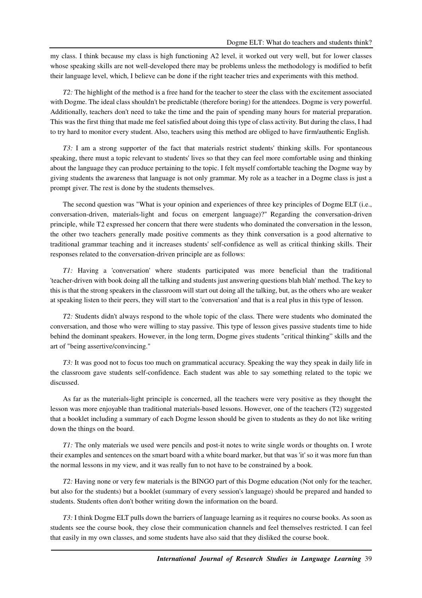my class. I think because my class is high functioning A2 level, it worked out very well, but for lower classes whose speaking skills are not well-developed there may be problems unless the methodology is modified to befit their language level, which, I believe can be done if the right teacher tries and experiments with this method.

*T2:* The highlight of the method is a free hand for the teacher to steer the class with the excitement associated with Dogme. The ideal class shouldn't be predictable (therefore boring) for the attendees. Dogme is very powerful. Additionally, teachers don't need to take the time and the pain of spending many hours for material preparation. This was the first thing that made me feel satisfied about doing this type of class activity. But during the class, I had to try hard to monitor every student. Also, teachers using this method are obliged to have firm/authentic English.

*T3:* I am a strong supporter of the fact that materials restrict students' thinking skills. For spontaneous speaking, there must a topic relevant to students' lives so that they can feel more comfortable using and thinking about the language they can produce pertaining to the topic. I felt myself comfortable teaching the Dogme way by giving students the awareness that language is not only grammar. My role as a teacher in a Dogme class is just a prompt giver. The rest is done by the students themselves.

The second question was "What is your opinion and experiences of three key principles of Dogme ELT (i.e., conversation-driven, materials-light and focus on emergent language)?" Regarding the conversation-driven principle, while T2 expressed her concern that there were students who dominated the conversation in the lesson, the other two teachers generally made positive comments as they think conversation is a good alternative to traditional grammar teaching and it increases students' self-confidence as well as critical thinking skills. Their responses related to the conversation-driven principle are as follows:

*T1:* Having a 'conversation' where students participated was more beneficial than the traditional 'teacher-driven with book doing all the talking and students just answering questions blah blah' method. The key to this is that the strong speakers in the classroom will start out doing all the talking, but, as the others who are weaker at speaking listen to their peers, they will start to the 'conversation' and that is a real plus in this type of lesson.

*T2:* Students didn't always respond to the whole topic of the class. There were students who dominated the conversation, and those who were willing to stay passive. This type of lesson gives passive students time to hide behind the dominant speakers. However, in the long term, Dogme gives students "critical thinking" skills and the art of "being assertive/convincing."

*T3:* It was good not to focus too much on grammatical accuracy. Speaking the way they speak in daily life in the classroom gave students self-confidence. Each student was able to say something related to the topic we discussed.

As far as the materials-light principle is concerned, all the teachers were very positive as they thought the lesson was more enjoyable than traditional materials-based lessons. However, one of the teachers (T2) suggested that a booklet including a summary of each Dogme lesson should be given to students as they do not like writing down the things on the board.

*T1:* The only materials we used were pencils and post-it notes to write single words or thoughts on. I wrote their examples and sentences on the smart board with a white board marker, but that was 'it' so it was more fun than the normal lessons in my view, and it was really fun to not have to be constrained by a book.

*T2:* Having none or very few materials is the BINGO part of this Dogme education (Not only for the teacher, but also for the students) but a booklet (summary of every session's language) should be prepared and handed to students. Students often don't bother writing down the information on the board.

*T3:* I think Dogme ELT pulls down the barriers of language learning as it requires no course books. As soon as students see the course book, they close their communication channels and feel themselves restricted. I can feel that easily in my own classes, and some students have also said that they disliked the course book.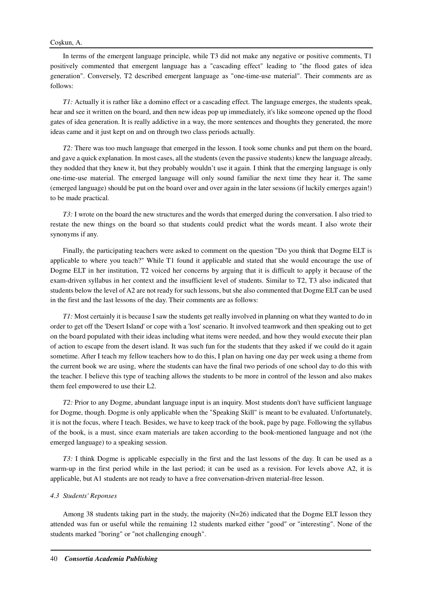In terms of the emergent language principle, while T3 did not make any negative or positive comments, T1 positively commented that emergent language has a "cascading effect" leading to "the flood gates of idea generation". Conversely, T2 described emergent language as "one-time-use material". Their comments are as follows:

*T1*: Actually it is rather like a domino effect or a cascading effect. The language emerges, the students speak, hear and see it written on the board, and then new ideas pop up immediately, it's like someone opened up the flood gates of idea generation. It is really addictive in a way, the more sentences and thoughts they generated, the more ideas came and it just kept on and on through two class periods actually.

*T2:* There was too much language that emerged in the lesson. I took some chunks and put them on the board, and gave a quick explanation. In most cases, all the students (even the passive students) knew the language already, they nodded that they knew it, but they probably wouldn't use it again. I think that the emerging language is only one-time-use material. The emerged language will only sound familiar the next time they hear it. The same (emerged language) should be put on the board over and over again in the later sessions (if luckily emerges again!) to be made practical.

*T3:* I wrote on the board the new structures and the words that emerged during the conversation. I also tried to restate the new things on the board so that students could predict what the words meant. I also wrote their synonyms if any.

Finally, the participating teachers were asked to comment on the question "Do you think that Dogme ELT is applicable to where you teach?" While T1 found it applicable and stated that she would encourage the use of Dogme ELT in her institution, T2 voiced her concerns by arguing that it is difficult to apply it because of the exam-driven syllabus in her context and the insufficient level of students. Similar to T2, T3 also indicated that students below the level of A2 are not ready for such lessons, but she also commented that Dogme ELT can be used in the first and the last lessons of the day. Their comments are as follows:

*T1:* Most certainly it is because I saw the students get really involved in planning on what they wanted to do in order to get off the 'Desert Island' or cope with a 'lost' scenario. It involved teamwork and then speaking out to get on the board populated with their ideas including what items were needed, and how they would execute their plan of action to escape from the desert island. It was such fun for the students that they asked if we could do it again sometime. After I teach my fellow teachers how to do this, I plan on having one day per week using a theme from the current book we are using, where the students can have the final two periods of one school day to do this with the teacher. I believe this type of teaching allows the students to be more in control of the lesson and also makes them feel empowered to use their L2.

*T2:* Prior to any Dogme, abundant language input is an inquiry. Most students don't have sufficient language for Dogme, though. Dogme is only applicable when the "Speaking Skill" is meant to be evaluated. Unfortunately, it is not the focus, where I teach. Besides, we have to keep track of the book, page by page. Following the syllabus of the book, is a must, since exam materials are taken according to the book-mentioned language and not (the emerged language) to a speaking session.

*T3:* I think Dogme is applicable especially in the first and the last lessons of the day. It can be used as a warm-up in the first period while in the last period; it can be used as a revision. For levels above A2, it is applicable, but A1 students are not ready to have a free conversation-driven material-free lesson.

## *4.3 Students' Reponses*

Among 38 students taking part in the study, the majority  $(N=26)$  indicated that the Dogme ELT lesson they attended was fun or useful while the remaining 12 students marked either "good" or "interesting". None of the students marked "boring" or "not challenging enough".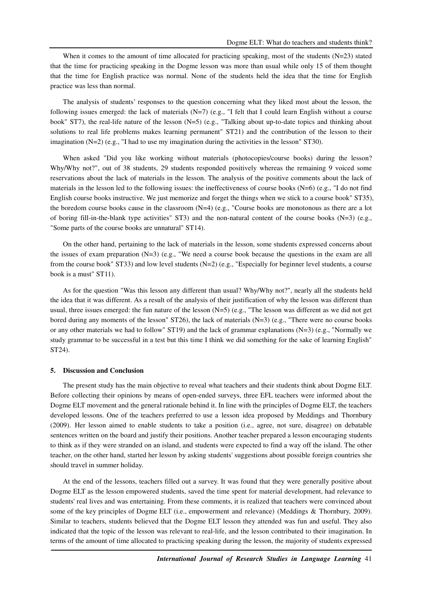When it comes to the amount of time allocated for practicing speaking, most of the students  $(N=23)$  stated that the time for practicing speaking in the Dogme lesson was more than usual while only 15 of them thought that the time for English practice was normal. None of the students held the idea that the time for English practice was less than normal.

The analysis of students' responses to the question concerning what they liked most about the lesson, the following issues emerged: the lack of materials (N=7) (e.g., "I felt that I could learn English without a course book" ST7), the real-life nature of the lesson (N=5) (e.g., "Talking about up-to-date topics and thinking about solutions to real life problems makes learning permanent" ST21) and the contribution of the lesson to their imagination  $(N=2)$  (e.g., "I had to use my imagination during the activities in the lesson" ST30).

When asked "Did you like working without materials (photocopies/course books) during the lesson? Why/Why not?", out of 38 students, 29 students responded positively whereas the remaining 9 voiced some reservations about the lack of materials in the lesson. The analysis of the positive comments about the lack of materials in the lesson led to the following issues: the ineffectiveness of course books (N=6) (e.g., "I do not find English course books instructive. We just memorize and forget the things when we stick to a course book" ST35), the boredom course books cause in the classroom  $(N=4)$  (e.g., "Course books are monotonous as there are a lot of boring fill-in-the-blank type activities" ST3) and the non-natural content of the course books (N=3) (e.g., "Some parts of the course books are unnatural" ST14).

On the other hand, pertaining to the lack of materials in the lesson, some students expressed concerns about the issues of exam preparation  $(N=3)$  (e.g., "We need a course book because the questions in the exam are all from the course book" ST33) and low level students  $(N=2)$  (e.g., "Especially for beginner level students, a course book is a must" ST11).

As for the question "Was this lesson any different than usual? Why/Why not?", nearly all the students held the idea that it was different. As a result of the analysis of their justification of why the lesson was different than usual, three issues emerged: the fun nature of the lesson (N=5) (e.g., "The lesson was different as we did not get bored during any moments of the lesson" ST26), the lack of materials (N=3) (e.g., "There were no course books or any other materials we had to follow" ST19) and the lack of grammar explanations (N=3) (e.g., "Normally we study grammar to be successful in a test but this time I think we did something for the sake of learning English" ST24).

#### **5. Discussion and Conclusion**

The present study has the main objective to reveal what teachers and their students think about Dogme ELT. Before collecting their opinions by means of open-ended surveys, three EFL teachers were informed about the Dogme ELT movement and the general rationale behind it. In line with the principles of Dogme ELT, the teachers developed lessons. One of the teachers preferred to use a lesson idea proposed by Meddings and Thornbury (2009). Her lesson aimed to enable students to take a position (i.e., agree, not sure, disagree) on debatable sentences written on the board and justify their positions. Another teacher prepared a lesson encouraging students to think as if they were stranded on an island, and students were expected to find a way off the island. The other teacher, on the other hand, started her lesson by asking students' suggestions about possible foreign countries she should travel in summer holiday.

At the end of the lessons, teachers filled out a survey. It was found that they were generally positive about Dogme ELT as the lesson empowered students, saved the time spent for material development, had relevance to students' real lives and was entertaining. From these comments, it is realized that teachers were convinced about some of the key principles of Dogme ELT (i.e., empowerment and relevance) (Meddings & Thornbury, 2009). Similar to teachers, students believed that the Dogme ELT lesson they attended was fun and useful. They also indicated that the topic of the lesson was relevant to real-life, and the lesson contributed to their imagination. In terms of the amount of time allocated to practicing speaking during the lesson, the majority of students expressed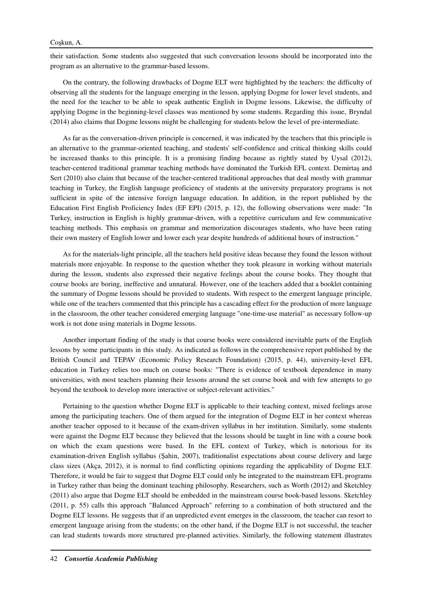## Coşkun, A.

their satisfaction. Some students also suggested that such conversation lessons should be incorporated into the program as an alternative to the grammar-based lessons.

On the contrary, the following drawbacks of Dogme ELT were highlighted by the teachers: the difficulty of observing all the students for the language emerging in the lesson, applying Dogme for lower level students, and the need for the teacher to be able to speak authentic English in Dogme lessons. Likewise, the difficulty of applying Dogme in the beginning-level classes was mentioned by some students. Regarding this issue, Bryndal (2014) also claims that Dogme lessons might be challenging for students below the level of pre-intermediate.

As far as the conversation-driven principle is concerned, it was indicated by the teachers that this principle is an alternative to the grammar-oriented teaching, and students' self-confidence and critical thinking skills could be increased thanks to this principle. It is a promising finding because as rightly stated by Uysal (2012), teacher-centered traditional grammar teaching methods have dominated the Turkish EFL context. Demirtaş and Sert (2010) also claim that because of the teacher-centered traditional approaches that deal mostly with grammar teaching in Turkey, the English language proficiency of students at the university preparatory programs is not sufficient in spite of the intensive foreign language education. In addition, in the report published by the Education First English Proficiency Index (EF EPI) (2015, p. 12), the following observations were made: "In Turkey, instruction in English is highly grammar-driven, with a repetitive curriculum and few communicative teaching methods. This emphasis on grammar and memorization discourages students, who have been rating their own mastery of English lower and lower each year despite hundreds of additional hours of instruction."

As for the materials-light principle, all the teachers held positive ideas because they found the lesson without materials more enjoyable. In response to the question whether they took pleasure in working without materials during the lesson, students also expressed their negative feelings about the course books. They thought that course books are boring, ineffective and unnatural. However, one of the teachers added that a booklet containing the summary of Dogme lessons should be provided to students. With respect to the emergent language principle, while one of the teachers commented that this principle has a cascading effect for the production of more language in the classroom, the other teacher considered emerging language "one-time-use material" as necessary follow-up work is not done using materials in Dogme lessons.

Another important finding of the study is that course books were considered inevitable parts of the English lessons by some participants in this study. As indicated as follows in the comprehensive report published by the British Council and TEPAV (Economic Policy Research Foundation) (2015, p. 44), university-level EFL education in Turkey relies too much on course books: "There is evidence of textbook dependence in many universities, with most teachers planning their lessons around the set course book and with few attempts to go beyond the textbook to develop more interactive or subject-relevant activities."

Pertaining to the question whether Dogme ELT is applicable to their teaching context, mixed feelings arose among the participating teachers. One of them argued for the integration of Dogme ELT in her context whereas another teacher opposed to it because of the exam-driven syllabus in her institution. Similarly, some students were against the Dogme ELT because they believed that the lessons should be taught in line with a course book on which the exam questions were based. In the EFL context of Turkey, which is notorious for its examination-driven English syllabus (Şahin, 2007), traditionalist expectations about course delivery and large class sizes (Akça, 2012), it is normal to find conflicting opinions regarding the applicability of Dogme ELT. Therefore, it would be fair to suggest that Dogme ELT could only be integrated to the mainstream EFL programs in Turkey rather than being the dominant teaching philosophy. Researchers, such as Worth (2012) and Sketchley (2011) also argue that Dogme ELT should be embedded in the mainstream course book-based lessons. Sketchley (2011, p. 55) calls this approach "Balanced Approach" referring to a combination of both structured and the Dogme ELT lessons. He suggests that if an unpredicted event emerges in the classroom, the teacher can resort to emergent language arising from the students; on the other hand, if the Dogme ELT is not successful, the teacher can lead students towards more structured pre-planned activities. Similarly, the following statement illustrates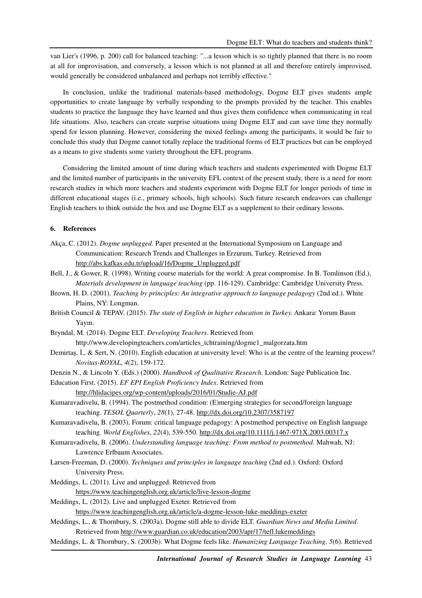van Lier's (1996, p. 200) call for balanced teaching: "...a lesson which is so tightly planned that there is no room at all for improvisation, and conversely, a lesson which is not planned at all and therefore entirely improvised, would generally be considered unbalanced and perhaps not terribly effective."

In conclusion, unlike the traditional materials-based methodology, Dogme ELT gives students ample opportunities to create language by verbally responding to the prompts provided by the teacher. This enables students to practice the language they have learned and thus gives them confidence when communicating in real life situations. Also, teachers can create surprise situations using Dogme ELT and can save time they normally spend for lesson planning. However, considering the mixed feelings among the participants, it would be fair to conclude this study that Dogme cannot totally replace the traditional forms of ELT practices but can be employed as a means to give students some variety throughout the EFL programs.

Considering the limited amount of time during which teachers and students experimented with Dogme ELT and the limited number of participants in the university EFL context of the present study, there is a need for more research studies in which more teachers and students experiment with Dogme ELT for longer periods of time in different educational stages (i.e., primary schools, high schools). Such future research endeavors can challenge English teachers to think outside the box and use Dogme ELT as a supplement to their ordinary lessons.

# **6. References**

- Akça, C. (2012). *Dogme unplugged.* Paper presented at the International Symposium on Language and Communication: Research Trends and Challenges in Erzurum, Turkey. Retrieved from http://abs.kafkas.edu.tr/upload/16/Dogme\_Unplugged.pdf
- Bell, J., & Gower, R. (1998). Writing course materials for the world: A great compromise. In B. Tomlinson (Ed.), *Materials development in language teaching* (pp. 116-129). Cambridge: Cambridge University Press.
- Brown, H. D. (2001). *Teaching by principles: An integrative approach to language pedagogy* (2nd ed.). White Plains, NY: Longman.
- British Council & TEPAV. (2015). *The state of English in higher education in Turkey.* Ankara: Yorum Basın Yayın.

Bryndal, M. (2014). Dogme ELT. *Developing Teachers.* Retrieved from http://www.developingteachers.com/articles\_tchtraining/dogme1\_malgorzata.htm

- Demirtaş, İ., & Sert, N. (2010). English education at university level: Who is at the centre of the learning process? *Novitas-ROYAL*, *4*(2), 159-172.
- Denzin N., & Lincoln Y. (Eds.) (2000). *Handbook of Qualitative Research*. London: Sage Publication Inc.
- Education First. (2015). *EF EPI English Proficiency Index*. Retrieved from

http://hlidacipes.org/wp-content/uploads/2016/01/Studie-AJ.pdf

- Kumaravadivelu, B. (1994). The postmethod condition: (E)merging strategies for second/foreign language teaching. *TESOL Quarterly*, *28*(1), 27-48. http://dx.doi.org/10.2307/3587197
- Kumaravadivelu, B. (2003). Forum: critical language pedagogy: A postmethod perspective on English language teaching. *World Englishes*, *22*(4), 539-550. http://dx.doi.org/10.1111/j.1467-971X.2003.00317.x
- Kumaravadivelu, B. (2006). *Understanding language teaching: From method to postmethod.* Mahwah, NJ: Lawrence Erlbaum Associates.
- Larsen-Freeman, D. (2000). *Techniques and principles in language teaching* (2nd ed.). Oxford: Oxford University Press.
- Meddings, L. (2011). Live and unplugged. Retrieved from https://www.teachingenglish.org.uk/article/live-lesson-dogme

Meddings, L. (2012). Live and unplugged Exeter. Retrieved from

https://www.teachingenglish.org.uk/article/a-dogme-lesson-luke-meddings-exeter

- Meddings, L., & Thornbury, S. (2003a). Dogme still able to divide ELT. *Guardian News and Media Limited*. Retrieved from http://www.guardian.co.uk/education/2003/apr/17/tefl.lukemeddings
- Meddings, L. & Thornbury, S. (2003b). What Dogme feels like. *Humanizing Language Teaching, 5*(6). Retrieved